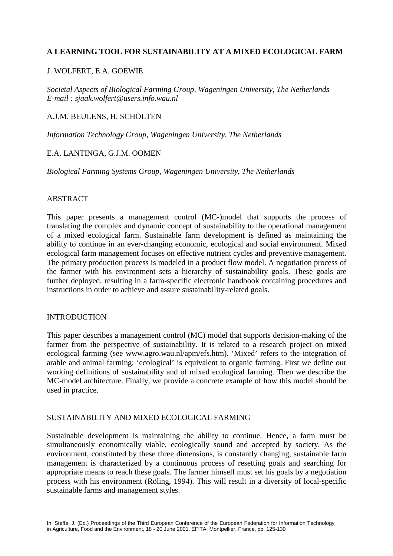## **A LEARNING TOOL FOR SUSTAINABILITY AT A MIXED ECOLOGICAL FARM**

## J. WOLFERT, E.A. GOEWIE

*Societal Aspects of Biological Farming Group, Wageningen University, The Netherlands E-mail : sjaak.wolfert@users.info.wau.nl*

## A.J.M. BEULENS, H. SCHOLTEN

*Information Technology Group, Wageningen University, The Netherlands*

### E.A. LANTINGA, G.J.M. OOMEN

*Biological Farming Systems Group, Wageningen University, The Netherlands* 

### **ABSTRACT**

This paper presents a management control (MC-)model that supports the process of translating the complex and dynamic concept of sustainability to the operational management of a mixed ecological farm. Sustainable farm development is defined as maintaining the ability to continue in an ever-changing economic, ecological and social environment. Mixed ecological farm management focuses on effective nutrient cycles and preventive management. The primary production process is modeled in a product flow model. A negotiation process of the farmer with his environment sets a hierarchy of sustainability goals. These goals are further deployed, resulting in a farm-specific electronic handbook containing procedures and instructions in order to achieve and assure sustainability-related goals.

#### **INTRODUCTION**

This paper describes a management control (MC) model that supports decision-making of the farmer from the perspective of sustainability. It is related to a research project on mixed ecological farming (see www.agro.wau.nl/apm/efs.htm). 'Mixed' refers to the integration of arable and animal farming; 'ecological' is equivalent to organic farming. First we define our working definitions of sustainability and of mixed ecological farming. Then we describe the MC-model architecture. Finally, we provide a concrete example of how this model should be used in practice.

### SUSTAINABILITY AND MIXED ECOLOGICAL FARMING

Sustainable development is maintaining the ability to continue. Hence, a farm must be simultaneously economically viable, ecologically sound and accepted by society. As the environment, constituted by these three dimensions, is constantly changing, sustainable farm management is characterized by a continuous process of resetting goals and searching for appropriate means to reach these goals. The farmer himself must set his goals by a negotiation process with his environment (Röling, 1994). This will result in a diversity of local-specific sustainable farms and management styles.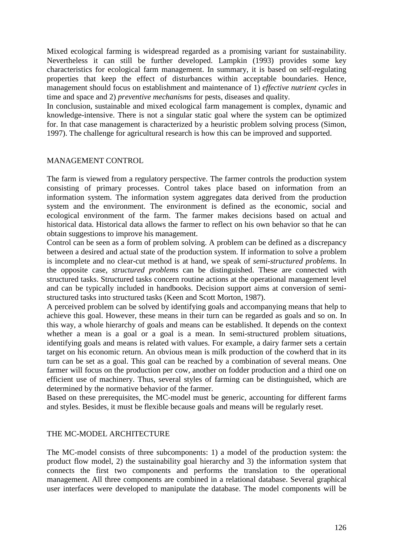Mixed ecological farming is widespread regarded as a promising variant for sustainability. Nevertheless it can still be further developed. Lampkin (1993) provides some key characteristics for ecological farm management. In summary, it is based on self-regulating properties that keep the effect of disturbances within acceptable boundaries. Hence, management should focus on establishment and maintenance of 1) *effective nutrient cycles* in time and space and 2) *preventive mechanisms* for pests, diseases and quality.

In conclusion, sustainable and mixed ecological farm management is complex, dynamic and knowledge-intensive. There is not a singular static goal where the system can be optimized for. In that case management is characterized by a heuristic problem solving process (Simon, 1997). The challenge for agricultural research is how this can be improved and supported.

## MANAGEMENT CONTROL

The farm is viewed from a regulatory perspective. The farmer controls the production system consisting of primary processes. Control takes place based on information from an information system. The information system aggregates data derived from the production system and the environment. The environment is defined as the economic, social and ecological environment of the farm. The farmer makes decisions based on actual and historical data. Historical data allows the farmer to reflect on his own behavior so that he can obtain suggestions to improve his management.

Control can be seen as a form of problem solving. A problem can be defined as a discrepancy between a desired and actual state of the production system. If information to solve a problem is incomplete and no clear-cut method is at hand, we speak of *semi-structured problems*. In the opposite case, *structured problems* can be distinguished. These are connected with structured tasks. Structured tasks concern routine actions at the operational management level and can be typically included in handbooks. Decision support aims at conversion of semistructured tasks into structured tasks (Keen and Scott Morton, 1987).

A perceived problem can be solved by identifying goals and accompanying means that help to achieve this goal. However, these means in their turn can be regarded as goals and so on. In this way, a whole hierarchy of goals and means can be established. It depends on the context whether a mean is a goal or a goal is a mean. In semi-structured problem situations, identifying goals and means is related with values. For example, a dairy farmer sets a certain target on his economic return. An obvious mean is milk production of the cowherd that in its turn can be set as a goal. This goal can be reached by a combination of several means. One farmer will focus on the production per cow, another on fodder production and a third one on efficient use of machinery. Thus, several styles of farming can be distinguished, which are determined by the normative behavior of the farmer.

Based on these prerequisites, the MC-model must be generic, accounting for different farms and styles. Besides, it must be flexible because goals and means will be regularly reset.

### THE MC-MODEL ARCHITECTURE

The MC-model consists of three subcomponents: 1) a model of the production system: the product flow model, 2) the sustainability goal hierarchy and 3) the information system that connects the first two components and performs the translation to the operational management. All three components are combined in a relational database. Several graphical user interfaces were developed to manipulate the database. The model components will be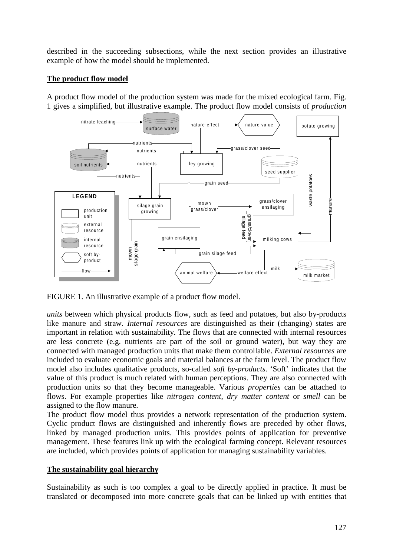described in the succeeding subsections, while the next section provides an illustrative example of how the model should be implemented.

# **The product flow model**

A product flow model of the production system was made for the mixed ecological farm. Fig. 1 gives a simplified, but illustrative example. The product flow model consists of *production* 



FIGURE 1. An illustrative example of a product flow model.

*units* between which physical products flow, such as feed and potatoes, but also by-products like manure and straw. *Internal resources* are distinguished as their (changing) states are important in relation with sustainability. The flows that are connected with internal resources are less concrete (e.g. nutrients are part of the soil or ground water), but way they are connected with managed production units that make them controllable. *External resources* are included to evaluate economic goals and material balances at the farm level. The product flow model also includes qualitative products, so-called *soft by-products*. 'Soft' indicates that the value of this product is much related with human perceptions. They are also connected with production units so that they become manageable. Various *properties* can be attached to flows. For example properties like *nitrogen content*, *dry matter content* or *smell* can be assigned to the flow manure.

The product flow model thus provides a network representation of the production system. Cyclic product flows are distinguished and inherently flows are preceded by other flows, linked by managed production units. This provides points of application for preventive management. These features link up with the ecological farming concept. Relevant resources are included, which provides points of application for managing sustainability variables.

## **The sustainability goal hierarchy**

Sustainability as such is too complex a goal to be directly applied in practice. It must be translated or decomposed into more concrete goals that can be linked up with entities that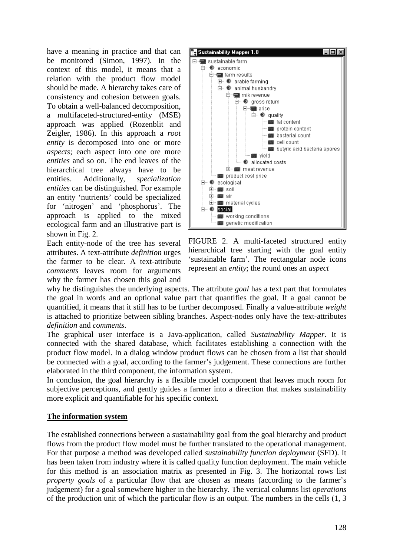have a meaning in practice and that can be monitored (Simon, 1997). In the context of this model, it means that a relation with the product flow model should be made. A hierarchy takes care of consistency and cohesion between goals. To obtain a well-balanced decomposition, a multifaceted-structured-entity (MSE) approach was applied (Rozenblit and Zeigler, 1986). In this approach a *root entity* is decomposed into one or more *aspects*; each aspect into one ore more *entities* and so on. The end leaves of the hierarchical tree always have to be entities. Additionally, *specialization entities* can be distinguished. For example an entity 'nutrients' could be specialized for 'nitrogen' and 'phosphorus'. The approach is applied to the mixed ecological farm and an illustrative part is shown in Fig. 2.

Each entity-node of the tree has several attributes. A text-attribute *definition* urges the farmer to be clear. A text-attribute *comments* leaves room for arguments why the farmer has chosen this goal and



FIGURE 2. A multi-faceted structured entity hierarchical tree starting with the goal entity 'sustainable farm'. The rectangular node icons represent an *entity*; the round ones an *aspect*

why he distinguishes the underlying aspects. The attribute *goal* has a text part that formulates the goal in words and an optional value part that quantifies the goal. If a goal cannot be quantified, it means that it still has to be further decomposed. Finally a value-attribute *weight* is attached to prioritize between sibling branches. Aspect-nodes only have the text-attributes *definition* and *comments*.

The graphical user interface is a Java-application, called *Sustainability Mapper*. It is connected with the shared database, which facilitates establishing a connection with the product flow model. In a dialog window product flows can be chosen from a list that should be connected with a goal, according to the farmer's judgement. These connections are further elaborated in the third component, the information system.

In conclusion, the goal hierarchy is a flexible model component that leaves much room for subjective perceptions, and gently guides a farmer into a direction that makes sustainability more explicit and quantifiable for his specific context.

### **The information system**

The established connections between a sustainability goal from the goal hierarchy and product flows from the product flow model must be further translated to the operational management. For that purpose a method was developed called *sustainability function deployment* (SFD). It has been taken from industry where it is called quality function deployment. The main vehicle for this method is an association matrix as presented in Fig. 3. The horizontal rows list *property goals* of a particular flow that are chosen as means (according to the farmer's judgement) for a goal somewhere higher in the hierarchy. The vertical columns list *operations* of the production unit of which the particular flow is an output. The numbers in the cells (1, 3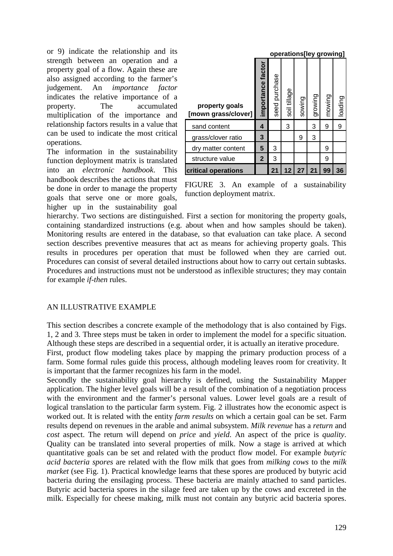or 9) indicate the relationship and its strength between an operation and a property goal of a flow. Again these are also assigned according to the farmer's judgement. An *importance factor* indicates the relative importance of a property. The accumulated multiplication of the importance and relationship factors results in a value that can be used to indicate the most critical operations.

The information in the sustainability function deployment matrix is translated into an *electronic handbook*. This handbook describes the actions that must be done in order to manage the property goals that serve one or more goals, higher up in the sustainability goal

|                                       | operations[ley growing] |               |              |        |         |        |         |
|---------------------------------------|-------------------------|---------------|--------------|--------|---------|--------|---------|
| property goals<br>[mown grass/clover] | importance factor       | seed purchase | soil tillage | sowing | growing | mowing | loading |
| sand content                          | 4                       |               | 3            |        | 3       | 9      | 9       |
| grass/clover ratio                    | 3                       |               |              | 9      | 3       |        |         |
| dry matter content                    | 5                       | 3             |              |        |         | 9      |         |
| structure value                       | $\mathbf{2}$            | 3             |              |        |         | 9      |         |
| <b>critical operations</b>            |                         | 21            | 12           | 27     | 21      | 99     | 36      |

FIGURE 3. An example of a sustainability function deployment matrix.

hierarchy. Two sections are distinguished. First a section for monitoring the property goals, containing standardized instructions (e.g. about when and how samples should be taken). Monitoring results are entered in the database, so that evaluation can take place. A second section describes preventive measures that act as means for achieving property goals. This results in procedures per operation that must be followed when they are carried out. Procedures can consist of several detailed instructions about how to carry out certain subtasks. Procedures and instructions must not be understood as inflexible structures; they may contain for example *if-then* rules.

### AN ILLUSTRATIVE EXAMPLE

This section describes a concrete example of the methodology that is also contained by Figs. 1, 2 and 3. Three steps must be taken in order to implement the model for a specific situation. Although these steps are described in a sequential order, it is actually an iterative procedure.

First, product flow modeling takes place by mapping the primary production process of a farm. Some formal rules guide this process, although modeling leaves room for creativity. It is important that the farmer recognizes his farm in the model.

Secondly the sustainability goal hierarchy is defined, using the Sustainability Mapper application. The higher level goals will be a result of the combination of a negotiation process with the environment and the farmer's personal values. Lower level goals are a result of logical translation to the particular farm system. Fig. 2 illustrates how the economic aspect is worked out. It is related with the entity *farm results* on which a certain goal can be set. Farm results depend on revenues in the arable and animal subsystem. *Milk revenue* has a *return* and *cost* aspect. The return will depend on *price* and *yield*. An aspect of the price is *quality*. Quality can be translated into several properties of milk. Now a stage is arrived at which quantitative goals can be set and related with the product flow model. For example *butyric acid bacteria spores* are related with the flow milk that goes from *milking cows* to the *milk market* (see Fig. 1). Practical knowledge learns that these spores are produced by butyric acid bacteria during the ensilaging process. These bacteria are mainly attached to sand particles. Butyric acid bacteria spores in the silage feed are taken up by the cows and excreted in the milk. Especially for cheese making, milk must not contain any butyric acid bacteria spores.